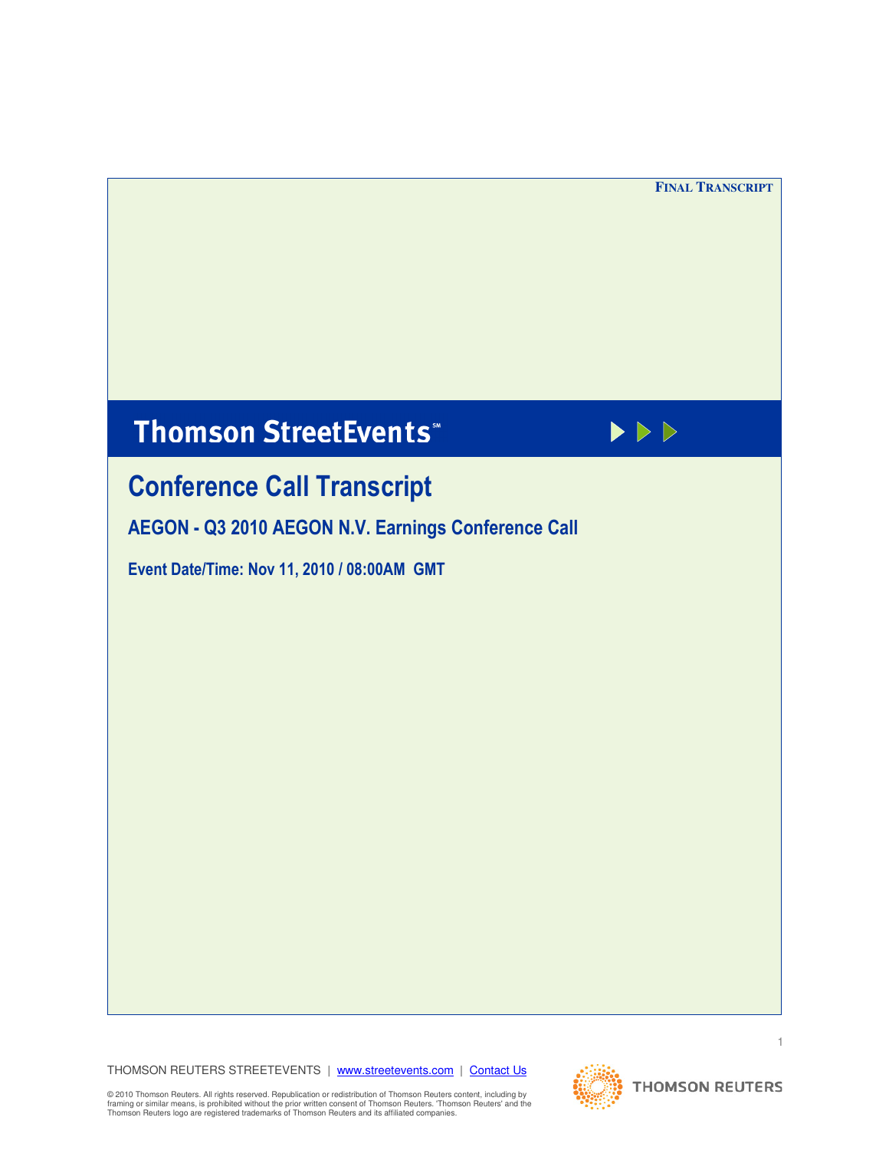# **Thomson StreetEvents**\*



## Conference Call Transcript

AEGON - Q3 2010 AEGON N.V. Earnings Conference Call

Event Date/Time: Nov 11, 2010 / 08:00AM GMT

THOMSON REUTERS STREETEVENTS | www.streetevents.com | Contact Us



1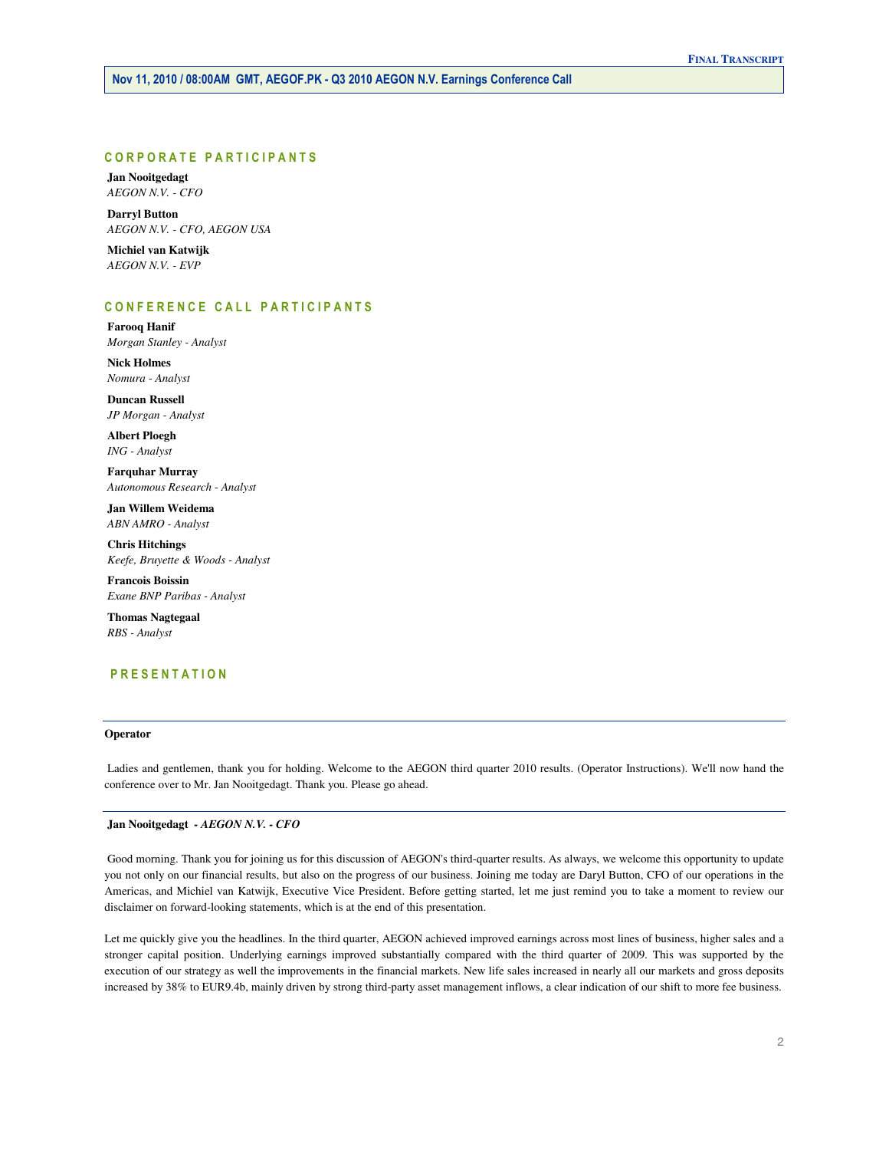## CORPORATE PARTICIPANTS

 **Jan Nooitgedagt**   *AEGON N.V. - CFO* 

 **Darryl Button**   *AEGON N.V. - CFO, AEGON USA* 

 **Michiel van Katwijk**   *AEGON N.V. - EVP* 

## CONFERENCE CALL PARTICIPANTS

 **Farooq Hanif**   *Morgan Stanley - Analyst* 

 **Nick Holmes**   *Nomura - Analyst* 

 **Duncan Russell**   *JP Morgan - Analyst* 

 **Albert Ploegh**   *ING - Analyst* 

 **Farquhar Murray**   *Autonomous Research - Analyst* 

 **Jan Willem Weidema**   *ABN AMRO - Analyst* 

 **Chris Hitchings**   *Keefe, Bruyette & Woods - Analyst* 

 **Francois Boissin**   *Exane BNP Paribas - Analyst* 

 **Thomas Nagtegaal**   *RBS - Analyst* 

## P R E S E N T A T I O N

#### **Operator**

 Ladies and gentlemen, thank you for holding. Welcome to the AEGON third quarter 2010 results. (Operator Instructions). We'll now hand the conference over to Mr. Jan Nooitgedagt. Thank you. Please go ahead.

 **Jan Nooitgedagt** *- AEGON N.V. - CFO* 

 Good morning. Thank you for joining us for this discussion of AEGON's third-quarter results. As always, we welcome this opportunity to update you not only on our financial results, but also on the progress of our business. Joining me today are Daryl Button, CFO of our operations in the Americas, and Michiel van Katwijk, Executive Vice President. Before getting started, let me just remind you to take a moment to review our disclaimer on forward-looking statements, which is at the end of this presentation.

 Let me quickly give you the headlines. In the third quarter, AEGON achieved improved earnings across most lines of business, higher sales and a stronger capital position. Underlying earnings improved substantially compared with the third quarter of 2009. This was supported by the execution of our strategy as well the improvements in the financial markets. New life sales increased in nearly all our markets and gross deposits increased by 38% to EUR9.4b, mainly driven by strong third-party asset management inflows, a clear indication of our shift to more fee business.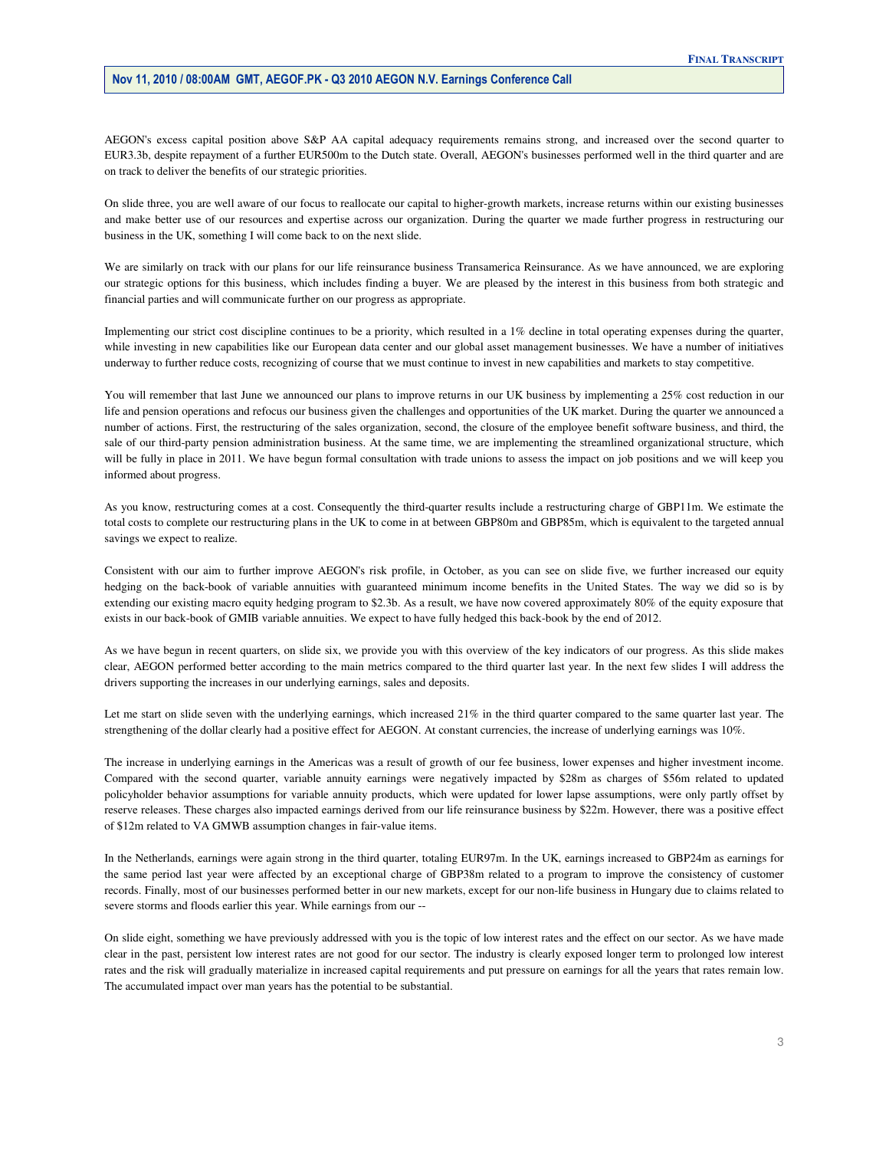AEGON's excess capital position above S&P AA capital adequacy requirements remains strong, and increased over the second quarter to EUR3.3b, despite repayment of a further EUR500m to the Dutch state. Overall, AEGON's businesses performed well in the third quarter and are on track to deliver the benefits of our strategic priorities.

 On slide three, you are well aware of our focus to reallocate our capital to higher-growth markets, increase returns within our existing businesses and make better use of our resources and expertise across our organization. During the quarter we made further progress in restructuring our business in the UK, something I will come back to on the next slide.

 We are similarly on track with our plans for our life reinsurance business Transamerica Reinsurance. As we have announced, we are exploring our strategic options for this business, which includes finding a buyer. We are pleased by the interest in this business from both strategic and financial parties and will communicate further on our progress as appropriate.

 Implementing our strict cost discipline continues to be a priority, which resulted in a 1% decline in total operating expenses during the quarter, while investing in new capabilities like our European data center and our global asset management businesses. We have a number of initiatives underway to further reduce costs, recognizing of course that we must continue to invest in new capabilities and markets to stay competitive.

 You will remember that last June we announced our plans to improve returns in our UK business by implementing a 25% cost reduction in our life and pension operations and refocus our business given the challenges and opportunities of the UK market. During the quarter we announced a number of actions. First, the restructuring of the sales organization, second, the closure of the employee benefit software business, and third, the sale of our third-party pension administration business. At the same time, we are implementing the streamlined organizational structure, which will be fully in place in 2011. We have begun formal consultation with trade unions to assess the impact on job positions and we will keep you informed about progress.

 As you know, restructuring comes at a cost. Consequently the third-quarter results include a restructuring charge of GBP11m. We estimate the total costs to complete our restructuring plans in the UK to come in at between GBP80m and GBP85m, which is equivalent to the targeted annual savings we expect to realize.

 Consistent with our aim to further improve AEGON's risk profile, in October, as you can see on slide five, we further increased our equity hedging on the back-book of variable annuities with guaranteed minimum income benefits in the United States. The way we did so is by extending our existing macro equity hedging program to \$2.3b. As a result, we have now covered approximately 80% of the equity exposure that exists in our back-book of GMIB variable annuities. We expect to have fully hedged this back-book by the end of 2012.

 As we have begun in recent quarters, on slide six, we provide you with this overview of the key indicators of our progress. As this slide makes clear, AEGON performed better according to the main metrics compared to the third quarter last year. In the next few slides I will address the drivers supporting the increases in our underlying earnings, sales and deposits.

Let me start on slide seven with the underlying earnings, which increased 21% in the third quarter compared to the same quarter last year. The strengthening of the dollar clearly had a positive effect for AEGON. At constant currencies, the increase of underlying earnings was 10%.

 The increase in underlying earnings in the Americas was a result of growth of our fee business, lower expenses and higher investment income. Compared with the second quarter, variable annuity earnings were negatively impacted by \$28m as charges of \$56m related to updated policyholder behavior assumptions for variable annuity products, which were updated for lower lapse assumptions, were only partly offset by reserve releases. These charges also impacted earnings derived from our life reinsurance business by \$22m. However, there was a positive effect of \$12m related to VA GMWB assumption changes in fair-value items.

 In the Netherlands, earnings were again strong in the third quarter, totaling EUR97m. In the UK, earnings increased to GBP24m as earnings for the same period last year were affected by an exceptional charge of GBP38m related to a program to improve the consistency of customer records. Finally, most of our businesses performed better in our new markets, except for our non-life business in Hungary due to claims related to severe storms and floods earlier this year. While earnings from our -

 On slide eight, something we have previously addressed with you is the topic of low interest rates and the effect on our sector. As we have made clear in the past, persistent low interest rates are not good for our sector. The industry is clearly exposed longer term to prolonged low interest rates and the risk will gradually materialize in increased capital requirements and put pressure on earnings for all the years that rates remain low. The accumulated impact over man years has the potential to be substantial.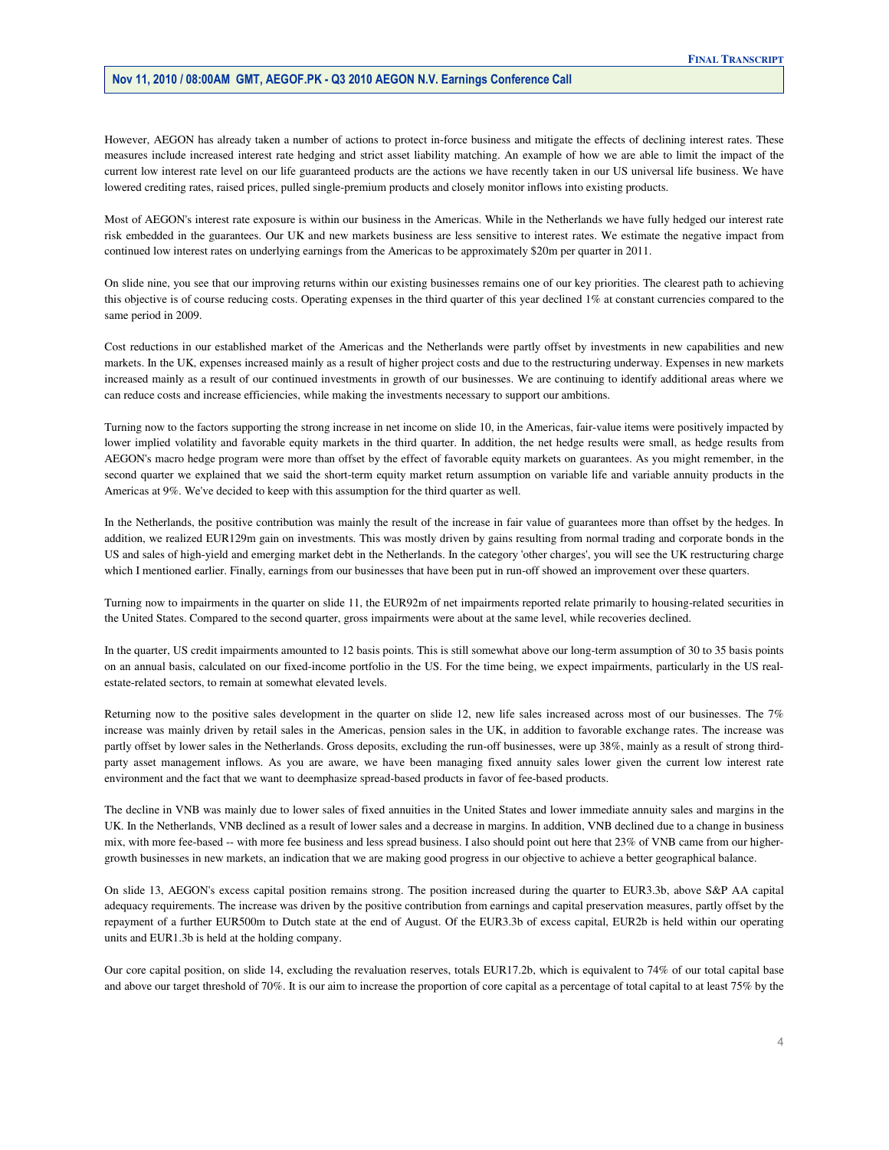However, AEGON has already taken a number of actions to protect in-force business and mitigate the effects of declining interest rates. These measures include increased interest rate hedging and strict asset liability matching. An example of how we are able to limit the impact of the current low interest rate level on our life guaranteed products are the actions we have recently taken in our US universal life business. We have lowered crediting rates, raised prices, pulled single-premium products and closely monitor inflows into existing products.

 Most of AEGON's interest rate exposure is within our business in the Americas. While in the Netherlands we have fully hedged our interest rate risk embedded in the guarantees. Our UK and new markets business are less sensitive to interest rates. We estimate the negative impact from continued low interest rates on underlying earnings from the Americas to be approximately \$20m per quarter in 2011.

 On slide nine, you see that our improving returns within our existing businesses remains one of our key priorities. The clearest path to achieving this objective is of course reducing costs. Operating expenses in the third quarter of this year declined 1% at constant currencies compared to the same period in 2009.

 Cost reductions in our established market of the Americas and the Netherlands were partly offset by investments in new capabilities and new markets. In the UK, expenses increased mainly as a result of higher project costs and due to the restructuring underway. Expenses in new markets increased mainly as a result of our continued investments in growth of our businesses. We are continuing to identify additional areas where we can reduce costs and increase efficiencies, while making the investments necessary to support our ambitions.

 Turning now to the factors supporting the strong increase in net income on slide 10, in the Americas, fair-value items were positively impacted by lower implied volatility and favorable equity markets in the third quarter. In addition, the net hedge results were small, as hedge results from AEGON's macro hedge program were more than offset by the effect of favorable equity markets on guarantees. As you might remember, in the second quarter we explained that we said the short-term equity market return assumption on variable life and variable annuity products in the Americas at 9%. We've decided to keep with this assumption for the third quarter as well.

 In the Netherlands, the positive contribution was mainly the result of the increase in fair value of guarantees more than offset by the hedges. In addition, we realized EUR129m gain on investments. This was mostly driven by gains resulting from normal trading and corporate bonds in the US and sales of high-yield and emerging market debt in the Netherlands. In the category 'other charges', you will see the UK restructuring charge which I mentioned earlier. Finally, earnings from our businesses that have been put in run-off showed an improvement over these quarters.

 Turning now to impairments in the quarter on slide 11, the EUR92m of net impairments reported relate primarily to housing-related securities in the United States. Compared to the second quarter, gross impairments were about at the same level, while recoveries declined.

 In the quarter, US credit impairments amounted to 12 basis points. This is still somewhat above our long-term assumption of 30 to 35 basis points on an annual basis, calculated on our fixed-income portfolio in the US. For the time being, we expect impairments, particularly in the US real-estate-related sectors, to remain at somewhat elevated levels.

Returning now to the positive sales development in the quarter on slide 12, new life sales increased across most of our businesses. The 7% increase was mainly driven by retail sales in the Americas, pension sales in the UK, in addition to favorable exchange rates. The increase was partly offset by lower sales in the Netherlands. Gross deposits, excluding the run-off businesses, were up 38%, mainly as a result of strong third- party asset management inflows. As you are aware, we have been managing fixed annuity sales lower given the current low interest rate environment and the fact that we want to deemphasize spread-based products in favor of fee-based products.

 The decline in VNB was mainly due to lower sales of fixed annuities in the United States and lower immediate annuity sales and margins in the UK. In the Netherlands, VNB declined as a result of lower sales and a decrease in margins. In addition, VNB declined due to a change in business mix, with more fee-based -- with more fee business and less spread business. I also should point out here that 23% of VNB came from our higher-growth businesses in new markets, an indication that we are making good progress in our objective to achieve a better geographical balance.

 On slide 13, AEGON's excess capital position remains strong. The position increased during the quarter to EUR3.3b, above S&P AA capital adequacy requirements. The increase was driven by the positive contribution from earnings and capital preservation measures, partly offset by the repayment of a further EUR500m to Dutch state at the end of August. Of the EUR3.3b of excess capital, EUR2b is held within our operating units and EUR1.3b is held at the holding company.

 Our core capital position, on slide 14, excluding the revaluation reserves, totals EUR17.2b, which is equivalent to 74% of our total capital base and above our target threshold of 70%. It is our aim to increase the proportion of core capital as a percentage of total capital to at least 75% by the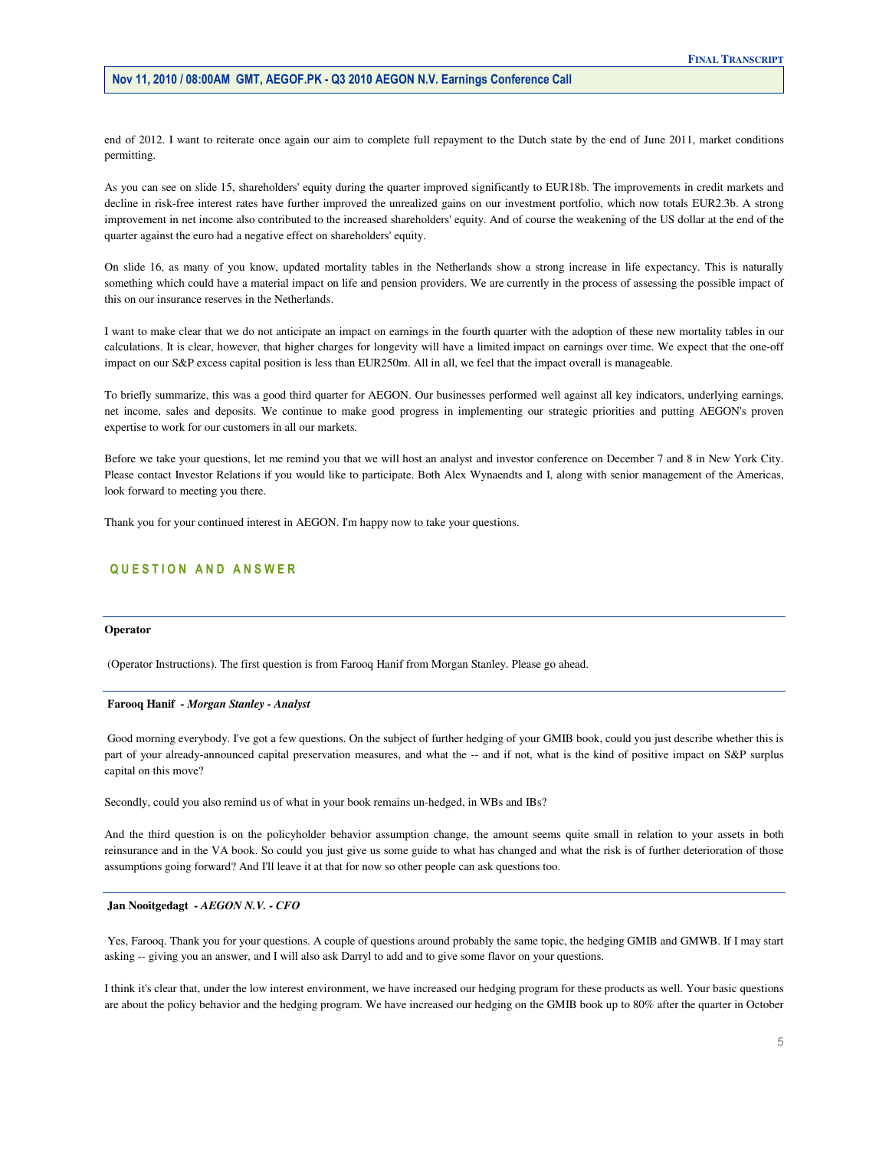end of 2012. I want to reiterate once again our aim to complete full repayment to the Dutch state by the end of June 2011, market conditions permitting.

 As you can see on slide 15, shareholders' equity during the quarter improved significantly to EUR18b. The improvements in credit markets and decline in risk-free interest rates have further improved the unrealized gains on our investment portfolio, which now totals EUR2.3b. A strong improvement in net income also contributed to the increased shareholders' equity. And of course the weakening of the US dollar at the end of the quarter against the euro had a negative effect on shareholders' equity.

 On slide 16, as many of you know, updated mortality tables in the Netherlands show a strong increase in life expectancy. This is naturally something which could have a material impact on life and pension providers. We are currently in the process of assessing the possible impact of this on our insurance reserves in the Netherlands.

 I want to make clear that we do not anticipate an impact on earnings in the fourth quarter with the adoption of these new mortality tables in our calculations. It is clear, however, that higher charges for longevity will have a limited impact on earnings over time. We expect that the one-off impact on our S&P excess capital position is less than EUR250m. All in all, we feel that the impact overall is manageable.

 To briefly summarize, this was a good third quarter for AEGON. Our businesses performed well against all key indicators, underlying earnings, net income, sales and deposits. We continue to make good progress in implementing our strategic priorities and putting AEGON's proven expertise to work for our customers in all our markets.

 Before we take your questions, let me remind you that we will host an analyst and investor conference on December 7 and 8 in New York City. Please contact Investor Relations if you would like to participate. Both Alex Wynaendts and I, along with senior management of the Americas, look forward to meeting you there.

Thank you for your continued interest in AEGON. I'm happy now to take your questions.

## QUESTION AND ANSWER

#### **Operator**

(Operator Instructions). The first question is from Farooq Hanif from Morgan Stanley. Please go ahead.

#### **Farooq Hanif** *- Morgan Stanley - Analyst*

 Good morning everybody. I've got a few questions. On the subject of further hedging of your GMIB book, could you just describe whether this is part of your already-announced capital preservation measures, and what the -- and if not, what is the kind of positive impact on S&P surplus capital on this move?

Secondly, could you also remind us of what in your book remains un-hedged, in WBs and IBs?

 And the third question is on the policyholder behavior assumption change, the amount seems quite small in relation to your assets in both reinsurance and in the VA book. So could you just give us some guide to what has changed and what the risk is of further deterioration of those assumptions going forward? And I'll leave it at that for now so other people can ask questions too.

#### **Jan Nooitgedagt** *- AEGON N.V. - CFO*

 Yes, Farooq. Thank you for your questions. A couple of questions around probably the same topic, the hedging GMIB and GMWB. If I may start asking -- giving you an answer, and I will also ask Darryl to add and to give some flavor on your questions.

 I think it's clear that, under the low interest environment, we have increased our hedging program for these products as well. Your basic questions are about the policy behavior and the hedging program. We have increased our hedging on the GMIB book up to 80% after the quarter in October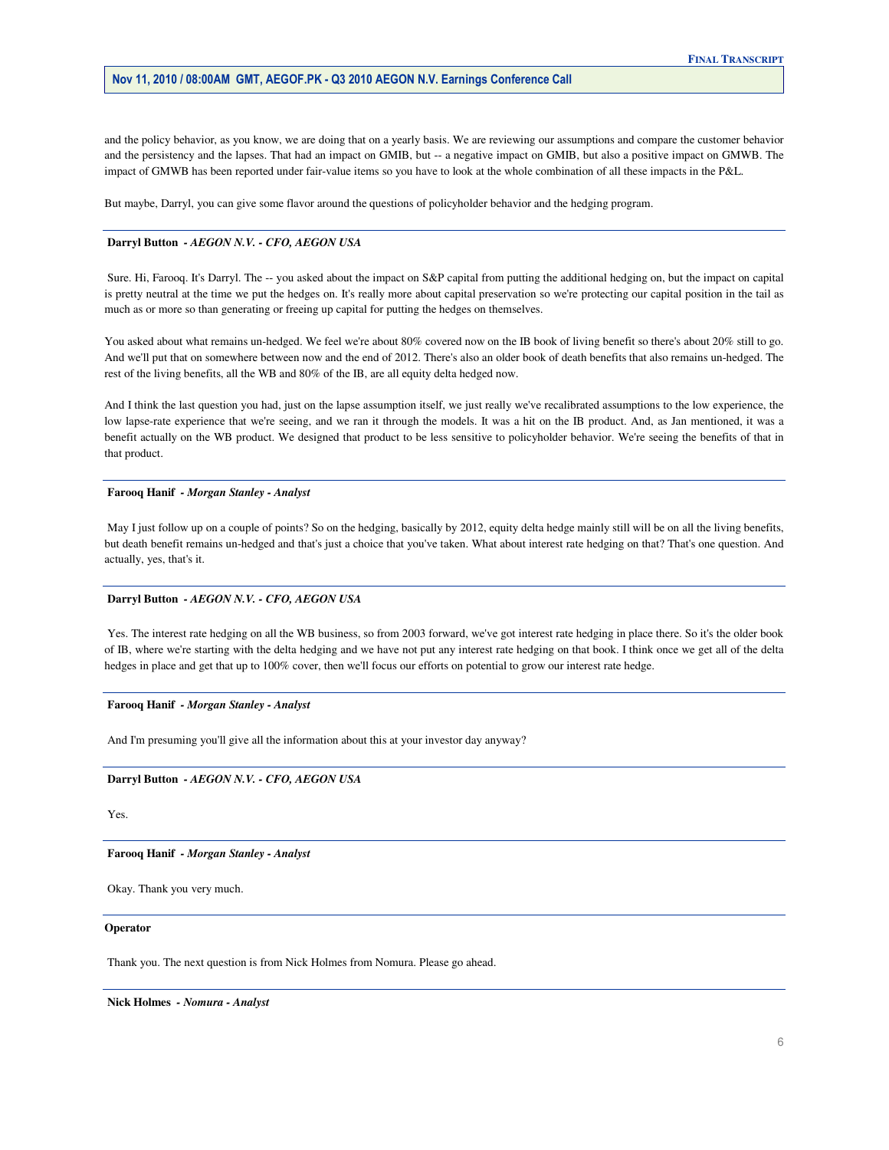and the policy behavior, as you know, we are doing that on a yearly basis. We are reviewing our assumptions and compare the customer behavior and the persistency and the lapses. That had an impact on GMIB, but -- a negative impact on GMIB, but also a positive impact on GMWB. The impact of GMWB has been reported under fair-value items so you have to look at the whole combination of all these impacts in the P&L.

But maybe, Darryl, you can give some flavor around the questions of policyholder behavior and the hedging program.

#### **Darryl Button** *- AEGON N.V. - CFO, AEGON USA*

 Sure. Hi, Farooq. It's Darryl. The -- you asked about the impact on S&P capital from putting the additional hedging on, but the impact on capital is pretty neutral at the time we put the hedges on. It's really more about capital preservation so we're protecting our capital position in the tail as much as or more so than generating or freeing up capital for putting the hedges on themselves.

 You asked about what remains un-hedged. We feel we're about 80% covered now on the IB book of living benefit so there's about 20% still to go. And we'll put that on somewhere between now and the end of 2012. There's also an older book of death benefits that also remains un-hedged. The rest of the living benefits, all the WB and 80% of the IB, are all equity delta hedged now.

 And I think the last question you had, just on the lapse assumption itself, we just really we've recalibrated assumptions to the low experience, the low lapse-rate experience that we're seeing, and we ran it through the models. It was a hit on the IB product. And, as Jan mentioned, it was a benefit actually on the WB product. We designed that product to be less sensitive to policyholder behavior. We're seeing the benefits of that in that product.

#### **Farooq Hanif** *- Morgan Stanley - Analyst*

 May I just follow up on a couple of points? So on the hedging, basically by 2012, equity delta hedge mainly still will be on all the living benefits, but death benefit remains un-hedged and that's just a choice that you've taken. What about interest rate hedging on that? That's one question. And actually, yes, that's it.

#### **Darryl Button** *- AEGON N.V. - CFO, AEGON USA*

 Yes. The interest rate hedging on all the WB business, so from 2003 forward, we've got interest rate hedging in place there. So it's the older book of IB, where we're starting with the delta hedging and we have not put any interest rate hedging on that book. I think once we get all of the delta hedges in place and get that up to 100% cover, then we'll focus our efforts on potential to grow our interest rate hedge.

#### **Farooq Hanif** *- Morgan Stanley - Analyst*

And I'm presuming you'll give all the information about this at your investor day anyway?

## **Darryl Button** *- AEGON N.V. - CFO, AEGON USA*

Yes.

 **Farooq Hanif** *- Morgan Stanley - Analyst* 

Okay. Thank you very much.

#### **Operator**

Thank you. The next question is from Nick Holmes from Nomura. Please go ahead.

 **Nick Holmes** *- Nomura - Analyst*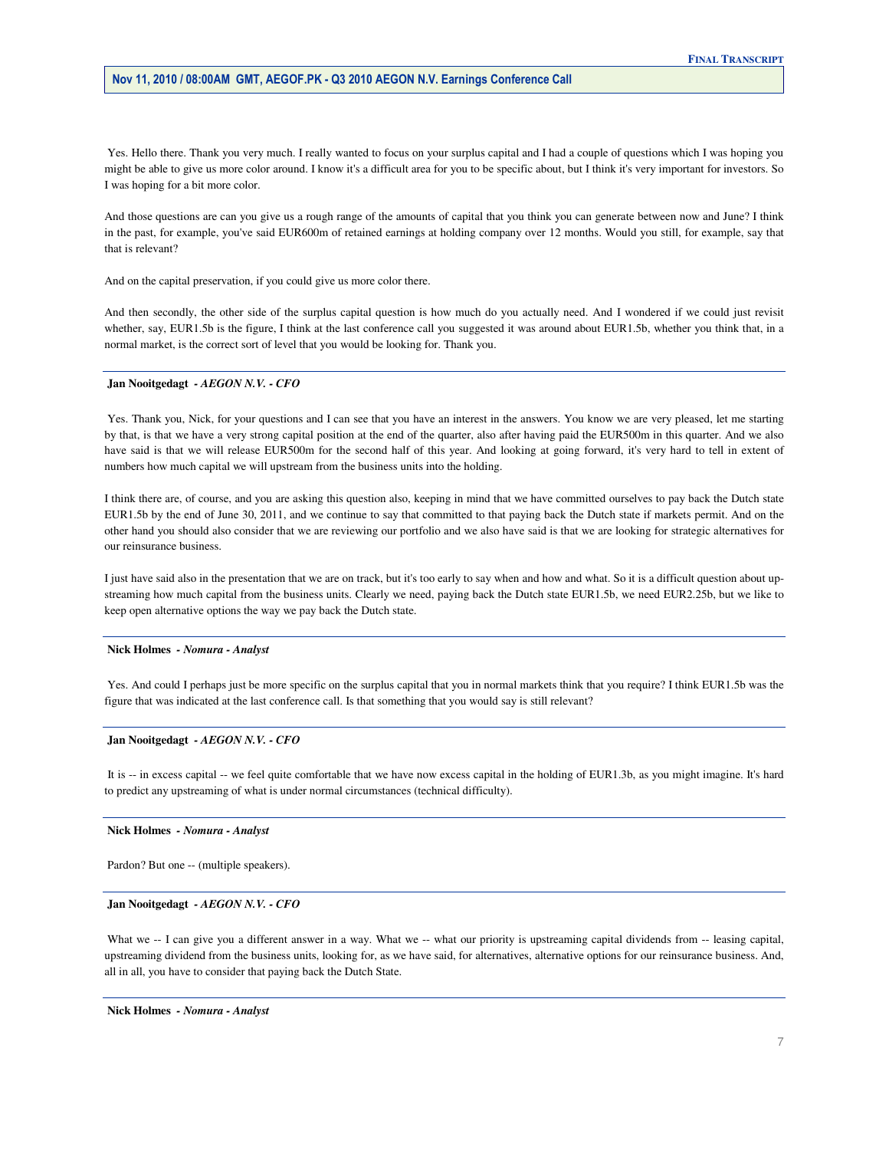Yes. Hello there. Thank you very much. I really wanted to focus on your surplus capital and I had a couple of questions which I was hoping you might be able to give us more color around. I know it's a difficult area for you to be specific about, but I think it's very important for investors. So I was hoping for a bit more color.

 And those questions are can you give us a rough range of the amounts of capital that you think you can generate between now and June? I think in the past, for example, you've said EUR600m of retained earnings at holding company over 12 months. Would you still, for example, say that that is relevant?

And on the capital preservation, if you could give us more color there.

 And then secondly, the other side of the surplus capital question is how much do you actually need. And I wondered if we could just revisit whether, say, EUR1.5b is the figure, I think at the last conference call you suggested it was around about EUR1.5b, whether you think that, in a normal market, is the correct sort of level that you would be looking for. Thank you.

#### **Jan Nooitgedagt** *- AEGON N.V. - CFO*

Yes. Thank you, Nick, for your questions and I can see that you have an interest in the answers. You know we are very pleased, let me starting by that, is that we have a very strong capital position at the end of the quarter, also after having paid the EUR500m in this quarter. And we also have said is that we will release EUR500m for the second half of this year. And looking at going forward, it's very hard to tell in extent of numbers how much capital we will upstream from the business units into the holding.

 I think there are, of course, and you are asking this question also, keeping in mind that we have committed ourselves to pay back the Dutch state EUR1.5b by the end of June 30, 2011, and we continue to say that committed to that paying back the Dutch state if markets permit. And on the other hand you should also consider that we are reviewing our portfolio and we also have said is that we are looking for strategic alternatives for our reinsurance business.

 I just have said also in the presentation that we are on track, but it's too early to say when and how and what. So it is a difficult question about up- streaming how much capital from the business units. Clearly we need, paying back the Dutch state EUR1.5b, we need EUR2.25b, but we like to keep open alternative options the way we pay back the Dutch state.

#### **Nick Holmes** *- Nomura - Analyst*

 Yes. And could I perhaps just be more specific on the surplus capital that you in normal markets think that you require? I think EUR1.5b was the figure that was indicated at the last conference call. Is that something that you would say is still relevant?

#### **Jan Nooitgedagt** *- AEGON N.V. - CFO*

It is -- in excess capital -- we feel quite comfortable that we have now excess capital in the holding of EUR1.3b, as you might imagine. It's hard to predict any upstreaming of what is under normal circumstances (technical difficulty).

#### **Nick Holmes** *- Nomura - Analyst*

Pardon? But one -- (multiple speakers).

 **Jan Nooitgedagt** *- AEGON N.V. - CFO* 

What we -- I can give you a different answer in a way. What we -- what our priority is upstreaming capital dividends from -- leasing capital, upstreaming dividend from the business units, looking for, as we have said, for alternatives, alternative options for our reinsurance business. And, all in all, you have to consider that paying back the Dutch State.

 **Nick Holmes** *- Nomura - Analyst*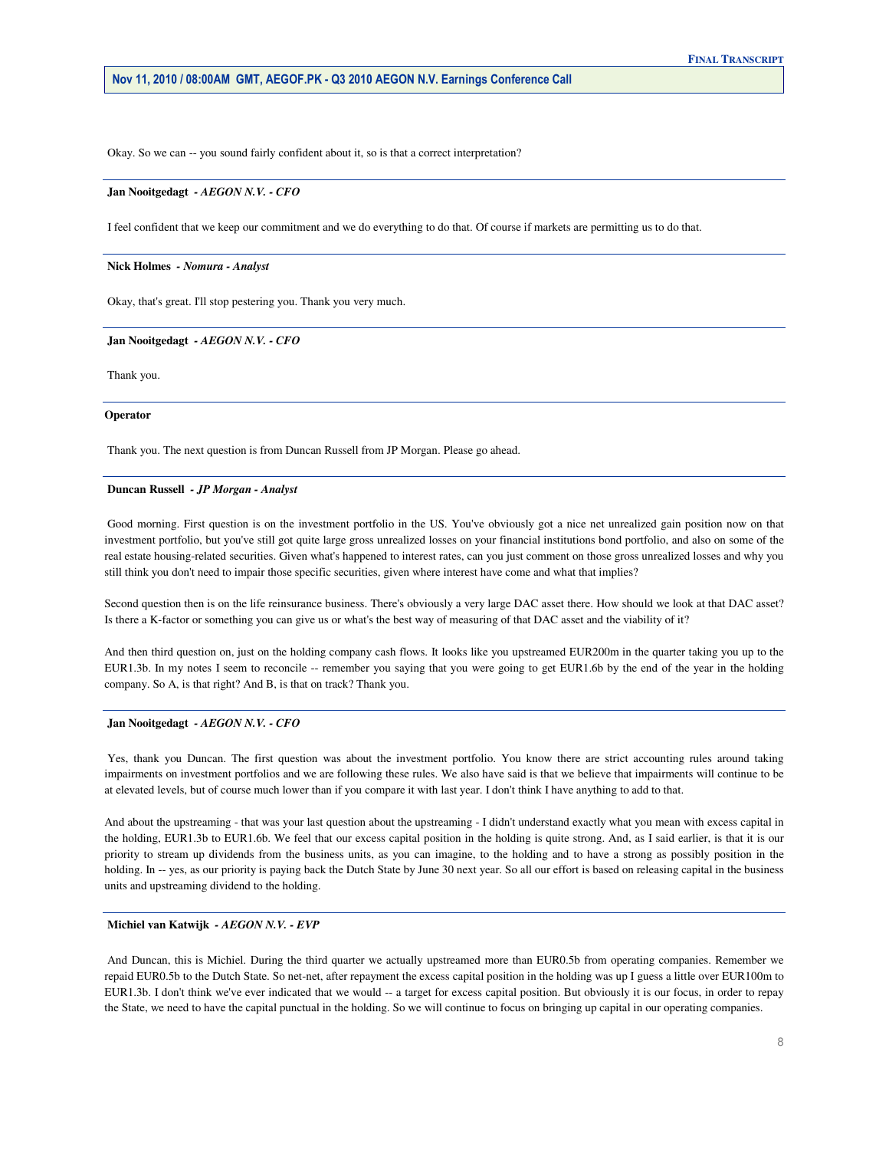Okay. So we can -- you sound fairly confident about it, so is that a correct interpretation?

#### **Jan Nooitgedagt** *- AEGON N.V. - CFO*

I feel confident that we keep our commitment and we do everything to do that. Of course if markets are permitting us to do that.

#### **Nick Holmes** *- Nomura - Analyst*

Okay, that's great. I'll stop pestering you. Thank you very much.

 **Jan Nooitgedagt** *- AEGON N.V. - CFO* 

Thank you.

#### **Operator**

Thank you. The next question is from Duncan Russell from JP Morgan. Please go ahead.

#### **Duncan Russell** *- JP Morgan - Analyst*

 Good morning. First question is on the investment portfolio in the US. You've obviously got a nice net unrealized gain position now on that investment portfolio, but you've still got quite large gross unrealized losses on your financial institutions bond portfolio, and also on some of the real estate housing-related securities. Given what's happened to interest rates, can you just comment on those gross unrealized losses and why you still think you don't need to impair those specific securities, given where interest have come and what that implies?

 Second question then is on the life reinsurance business. There's obviously a very large DAC asset there. How should we look at that DAC asset? Is there a K-factor or something you can give us or what's the best way of measuring of that DAC asset and the viability of it?

 And then third question on, just on the holding company cash flows. It looks like you upstreamed EUR200m in the quarter taking you up to the EUR1.3b. In my notes I seem to reconcile -- remember you saying that you were going to get EUR1.6b by the end of the year in the holding company. So A, is that right? And B, is that on track? Thank you.

#### **Jan Nooitgedagt** *- AEGON N.V. - CFO*

 Yes, thank you Duncan. The first question was about the investment portfolio. You know there are strict accounting rules around taking impairments on investment portfolios and we are following these rules. We also have said is that we believe that impairments will continue to be at elevated levels, but of course much lower than if you compare it with last year. I don't think I have anything to add to that.

 And about the upstreaming - that was your last question about the upstreaming - I didn't understand exactly what you mean with excess capital in the holding, EUR1.3b to EUR1.6b. We feel that our excess capital position in the holding is quite strong. And, as I said earlier, is that it is our priority to stream up dividends from the business units, as you can imagine, to the holding and to have a strong as possibly position in the holding. In -- yes, as our priority is paying back the Dutch State by June 30 next year. So all our effort is based on releasing capital in the business units and upstreaming dividend to the holding.

#### **Michiel van Katwijk** *- AEGON N.V. - EVP*

 And Duncan, this is Michiel. During the third quarter we actually upstreamed more than EUR0.5b from operating companies. Remember we repaid EUR0.5b to the Dutch State. So net-net, after repayment the excess capital position in the holding was up I guess a little over EUR100m to EUR1.3b. I don't think we've ever indicated that we would -- a target for excess capital position. But obviously it is our focus, in order to repay the State, we need to have the capital punctual in the holding. So we will continue to focus on bringing up capital in our operating companies.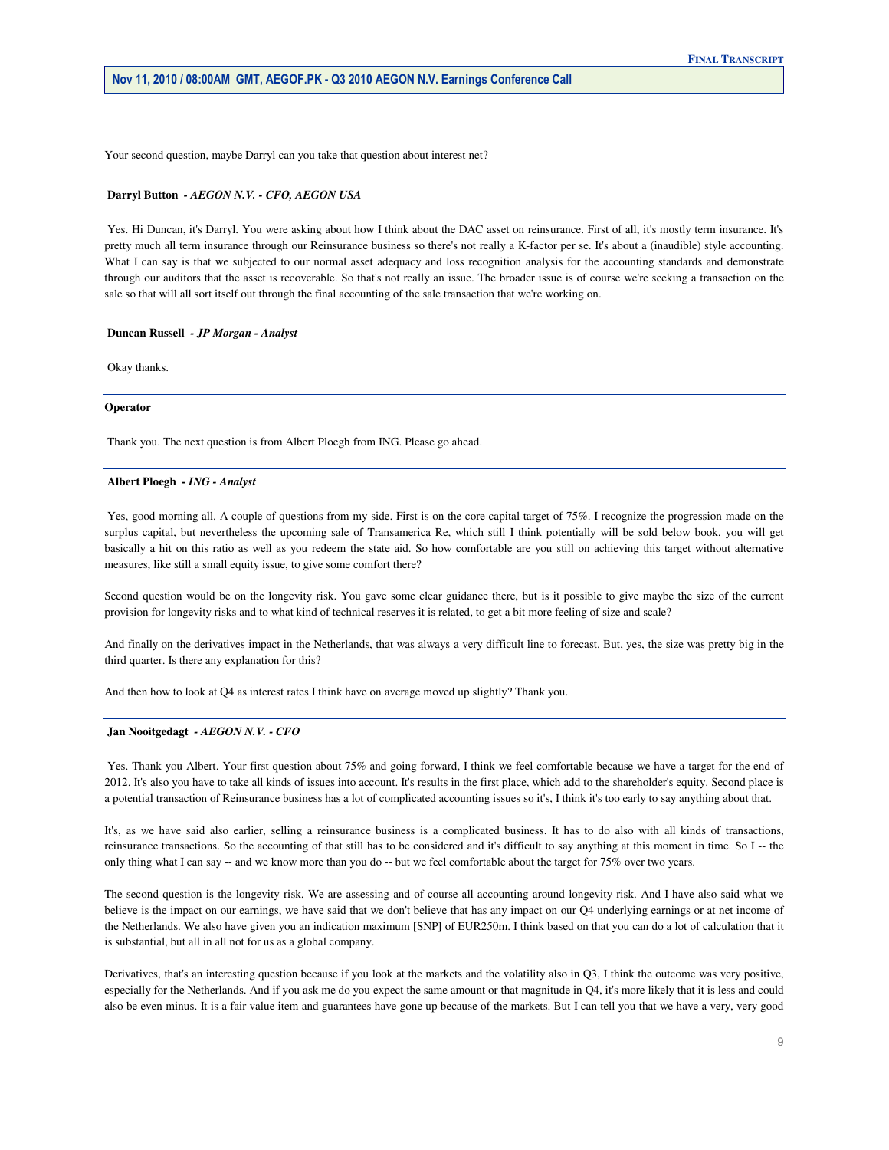Your second question, maybe Darryl can you take that question about interest net?

#### **Darryl Button** *- AEGON N.V. - CFO, AEGON USA*

 Yes. Hi Duncan, it's Darryl. You were asking about how I think about the DAC asset on reinsurance. First of all, it's mostly term insurance. It's pretty much all term insurance through our Reinsurance business so there's not really a K-factor per se. It's about a (inaudible) style accounting. What I can say is that we subjected to our normal asset adequacy and loss recognition analysis for the accounting standards and demonstrate through our auditors that the asset is recoverable. So that's not really an issue. The broader issue is of course we're seeking a transaction on the sale so that will all sort itself out through the final accounting of the sale transaction that we're working on.

#### **Duncan Russell** *- JP Morgan - Analyst*

Okay thanks.

#### **Operator**

Thank you. The next question is from Albert Ploegh from ING. Please go ahead.

#### **Albert Ploegh** *- ING - Analyst*

Yes, good morning all. A couple of questions from my side. First is on the core capital target of 75%. I recognize the progression made on the surplus capital, but nevertheless the upcoming sale of Transamerica Re, which still I think potentially will be sold below book, you will get basically a hit on this ratio as well as you redeem the state aid. So how comfortable are you still on achieving this target without alternative measures, like still a small equity issue, to give some comfort there?

 Second question would be on the longevity risk. You gave some clear guidance there, but is it possible to give maybe the size of the current provision for longevity risks and to what kind of technical reserves it is related, to get a bit more feeling of size and scale?

 And finally on the derivatives impact in the Netherlands, that was always a very difficult line to forecast. But, yes, the size was pretty big in the third quarter. Is there any explanation for this?

And then how to look at Q4 as interest rates I think have on average moved up slightly? Thank you.

#### **Jan Nooitgedagt** *- AEGON N.V. - CFO*

 Yes. Thank you Albert. Your first question about 75% and going forward, I think we feel comfortable because we have a target for the end of 2012. It's also you have to take all kinds of issues into account. It's results in the first place, which add to the shareholder's equity. Second place is a potential transaction of Reinsurance business has a lot of complicated accounting issues so it's, I think it's too early to say anything about that.

 It's, as we have said also earlier, selling a reinsurance business is a complicated business. It has to do also with all kinds of transactions, reinsurance transactions. So the accounting of that still has to be considered and it's difficult to say anything at this moment in time. So I -- the only thing what I can say -- and we know more than you do -- but we feel comfortable about the target for 75% over two years.

 The second question is the longevity risk. We are assessing and of course all accounting around longevity risk. And I have also said what we believe is the impact on our earnings, we have said that we don't believe that has any impact on our Q4 underlying earnings or at net income of the Netherlands. We also have given you an indication maximum [SNP] of EUR250m. I think based on that you can do a lot of calculation that it is substantial, but all in all not for us as a global company.

 Derivatives, that's an interesting question because if you look at the markets and the volatility also in Q3, I think the outcome was very positive, especially for the Netherlands. And if you ask me do you expect the same amount or that magnitude in Q4, it's more likely that it is less and could also be even minus. It is a fair value item and guarantees have gone up because of the markets. But I can tell you that we have a very, very good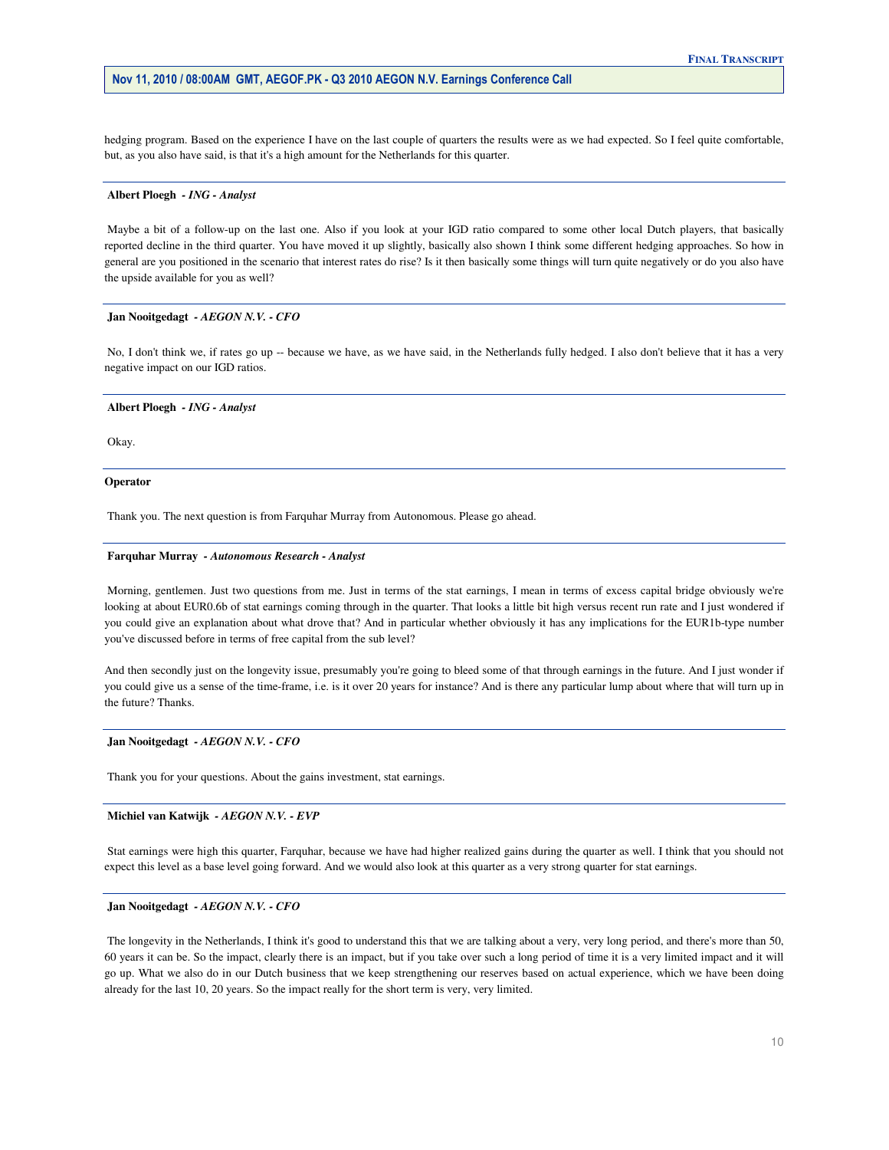hedging program. Based on the experience I have on the last couple of quarters the results were as we had expected. So I feel quite comfortable, but, as you also have said, is that it's a high amount for the Netherlands for this quarter.

#### **Albert Ploegh** *- ING - Analyst*

 Maybe a bit of a follow-up on the last one. Also if you look at your IGD ratio compared to some other local Dutch players, that basically reported decline in the third quarter. You have moved it up slightly, basically also shown I think some different hedging approaches. So how in general are you positioned in the scenario that interest rates do rise? Is it then basically some things will turn quite negatively or do you also have the upside available for you as well?

#### **Jan Nooitgedagt** *- AEGON N.V. - CFO*

No, I don't think we, if rates go up -- because we have, as we have said, in the Netherlands fully hedged. I also don't believe that it has a very negative impact on our IGD ratios.

#### **Albert Ploegh** *- ING - Analyst*

Okay.

**Operator** 

Thank you. The next question is from Farquhar Murray from Autonomous. Please go ahead.

#### **Farquhar Murray** *- Autonomous Research - Analyst*

 Morning, gentlemen. Just two questions from me. Just in terms of the stat earnings, I mean in terms of excess capital bridge obviously we're looking at about EUR0.6b of stat earnings coming through in the quarter. That looks a little bit high versus recent run rate and I just wondered if you could give an explanation about what drove that? And in particular whether obviously it has any implications for the EUR1b-type number you've discussed before in terms of free capital from the sub level?

 And then secondly just on the longevity issue, presumably you're going to bleed some of that through earnings in the future. And I just wonder if you could give us a sense of the time-frame, i.e. is it over 20 years for instance? And is there any particular lump about where that will turn up in the future? Thanks.

 **Jan Nooitgedagt** *- AEGON N.V. - CFO* 

Thank you for your questions. About the gains investment, stat earnings.

#### **Michiel van Katwijk** *- AEGON N.V. - EVP*

 Stat earnings were high this quarter, Farquhar, because we have had higher realized gains during the quarter as well. I think that you should not expect this level as a base level going forward. And we would also look at this quarter as a very strong quarter for stat earnings.

#### **Jan Nooitgedagt** *- AEGON N.V. - CFO*

 The longevity in the Netherlands, I think it's good to understand this that we are talking about a very, very long period, and there's more than 50, 60 years it can be. So the impact, clearly there is an impact, but if you take over such a long period of time it is a very limited impact and it will go up. What we also do in our Dutch business that we keep strengthening our reserves based on actual experience, which we have been doing already for the last 10, 20 years. So the impact really for the short term is very, very limited.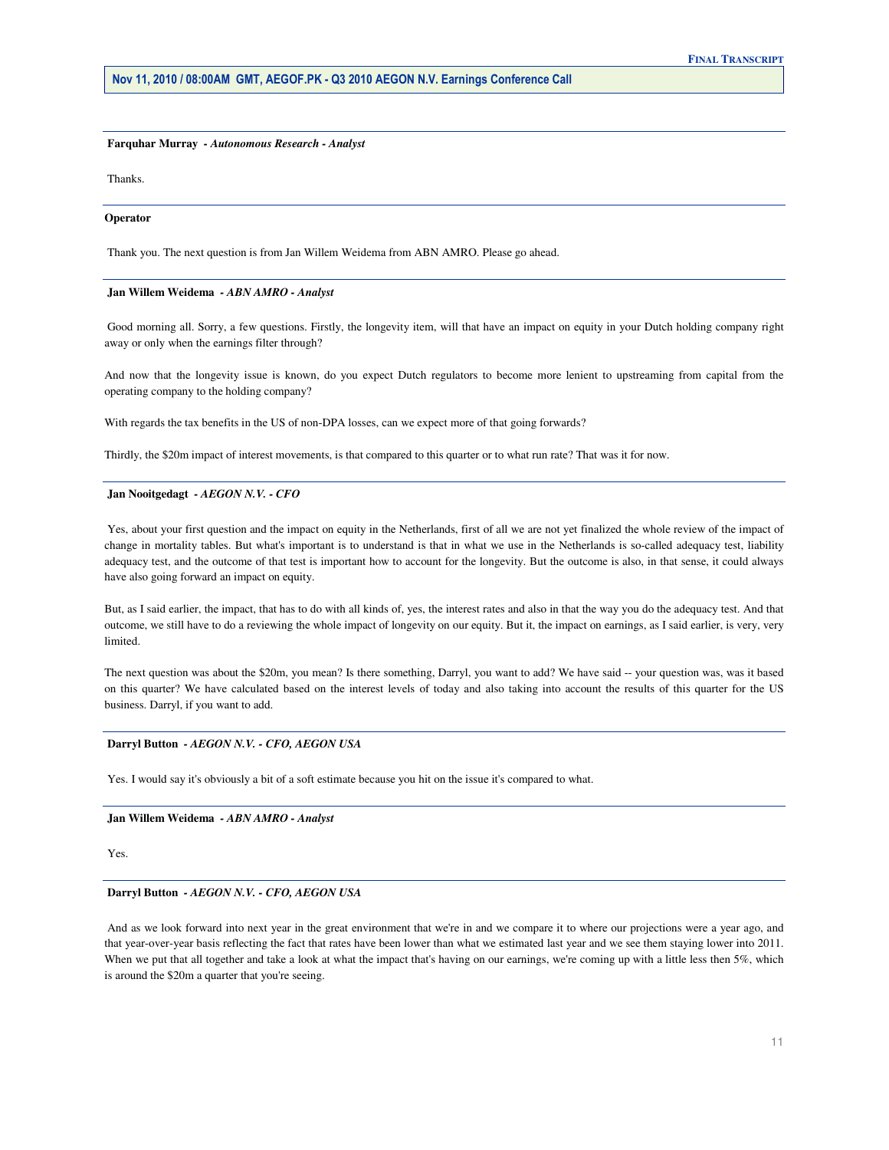#### **Farquhar Murray** *- Autonomous Research - Analyst*

Thanks.

#### **Operator**

Thank you. The next question is from Jan Willem Weidema from ABN AMRO. Please go ahead.

#### **Jan Willem Weidema** *- ABN AMRO - Analyst*

 Good morning all. Sorry, a few questions. Firstly, the longevity item, will that have an impact on equity in your Dutch holding company right away or only when the earnings filter through?

 And now that the longevity issue is known, do you expect Dutch regulators to become more lenient to upstreaming from capital from the operating company to the holding company?

With regards the tax benefits in the US of non-DPA losses, can we expect more of that going forwards?

Thirdly, the \$20m impact of interest movements, is that compared to this quarter or to what run rate? That was it for now.

#### **Jan Nooitgedagt** *- AEGON N.V. - CFO*

 Yes, about your first question and the impact on equity in the Netherlands, first of all we are not yet finalized the whole review of the impact of change in mortality tables. But what's important is to understand is that in what we use in the Netherlands is so-called adequacy test, liability adequacy test, and the outcome of that test is important how to account for the longevity. But the outcome is also, in that sense, it could always have also going forward an impact on equity.

 But, as I said earlier, the impact, that has to do with all kinds of, yes, the interest rates and also in that the way you do the adequacy test. And that outcome, we still have to do a reviewing the whole impact of longevity on our equity. But it, the impact on earnings, as I said earlier, is very, very limited.

 The next question was about the \$20m, you mean? Is there something, Darryl, you want to add? We have said -- your question was, was it based on this quarter? We have calculated based on the interest levels of today and also taking into account the results of this quarter for the US business. Darryl, if you want to add.

#### **Darryl Button** *- AEGON N.V. - CFO, AEGON USA*

Yes. I would say it's obviously a bit of a soft estimate because you hit on the issue it's compared to what.

 **Jan Willem Weidema** *- ABN AMRO - Analyst* 

Yes.

#### **Darryl Button** *- AEGON N.V. - CFO, AEGON USA*

 And as we look forward into next year in the great environment that we're in and we compare it to where our projections were a year ago, and that year-over-year basis reflecting the fact that rates have been lower than what we estimated last year and we see them staying lower into 2011. When we put that all together and take a look at what the impact that's having on our earnings, we're coming up with a little less then 5%, which is around the \$20m a quarter that you're seeing.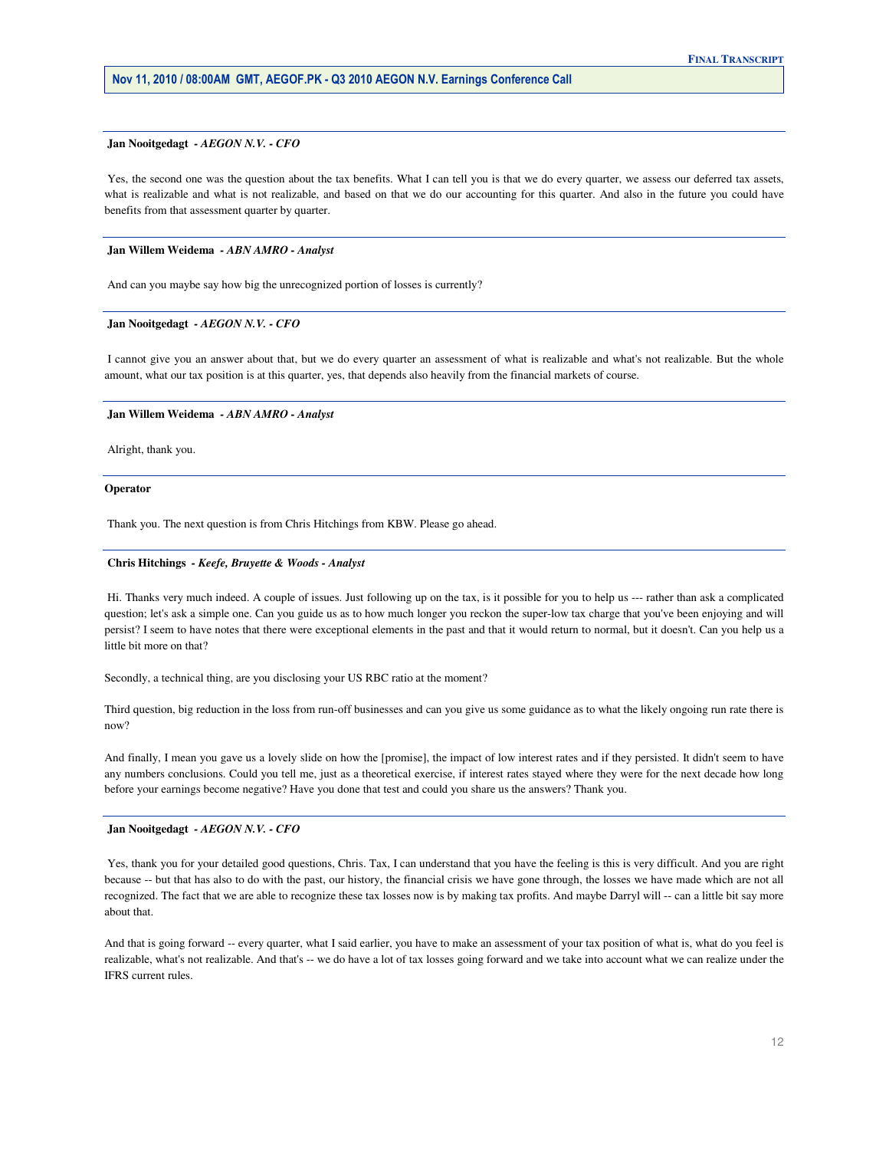#### **Jan Nooitgedagt** *- AEGON N.V. - CFO*

Yes, the second one was the question about the tax benefits. What I can tell you is that we do every quarter, we assess our deferred tax assets, what is realizable and what is not realizable, and based on that we do our accounting for this quarter. And also in the future you could have benefits from that assessment quarter by quarter.

#### **Jan Willem Weidema** *- ABN AMRO - Analyst*

And can you maybe say how big the unrecognized portion of losses is currently?

#### **Jan Nooitgedagt** *- AEGON N.V. - CFO*

 I cannot give you an answer about that, but we do every quarter an assessment of what is realizable and what's not realizable. But the whole amount, what our tax position is at this quarter, yes, that depends also heavily from the financial markets of course.

#### **Jan Willem Weidema** *- ABN AMRO - Analyst*

Alright, thank you.

#### **Operator**

Thank you. The next question is from Chris Hitchings from KBW. Please go ahead.

#### **Chris Hitchings** *- Keefe, Bruyette & Woods - Analyst*

 Hi. Thanks very much indeed. A couple of issues. Just following up on the tax, is it possible for you to help us --- rather than ask a complicated question; let's ask a simple one. Can you guide us as to how much longer you reckon the super-low tax charge that you've been enjoying and will persist? I seem to have notes that there were exceptional elements in the past and that it would return to normal, but it doesn't. Can you help us a little bit more on that?

Secondly, a technical thing, are you disclosing your US RBC ratio at the moment?

 Third question, big reduction in the loss from run-off businesses and can you give us some guidance as to what the likely ongoing run rate there is now?

 And finally, I mean you gave us a lovely slide on how the [promise], the impact of low interest rates and if they persisted. It didn't seem to have any numbers conclusions. Could you tell me, just as a theoretical exercise, if interest rates stayed where they were for the next decade how long before your earnings become negative? Have you done that test and could you share us the answers? Thank you.

#### **Jan Nooitgedagt** *- AEGON N.V. - CFO*

 Yes, thank you for your detailed good questions, Chris. Tax, I can understand that you have the feeling is this is very difficult. And you are right because -- but that has also to do with the past, our history, the financial crisis we have gone through, the losses we have made which are not all recognized. The fact that we are able to recognize these tax losses now is by making tax profits. And maybe Darryl will -- can a little bit say more about that.

 And that is going forward -- every quarter, what I said earlier, you have to make an assessment of your tax position of what is, what do you feel is realizable, what's not realizable. And that's -- we do have a lot of tax losses going forward and we take into account what we can realize under the IFRS current rules.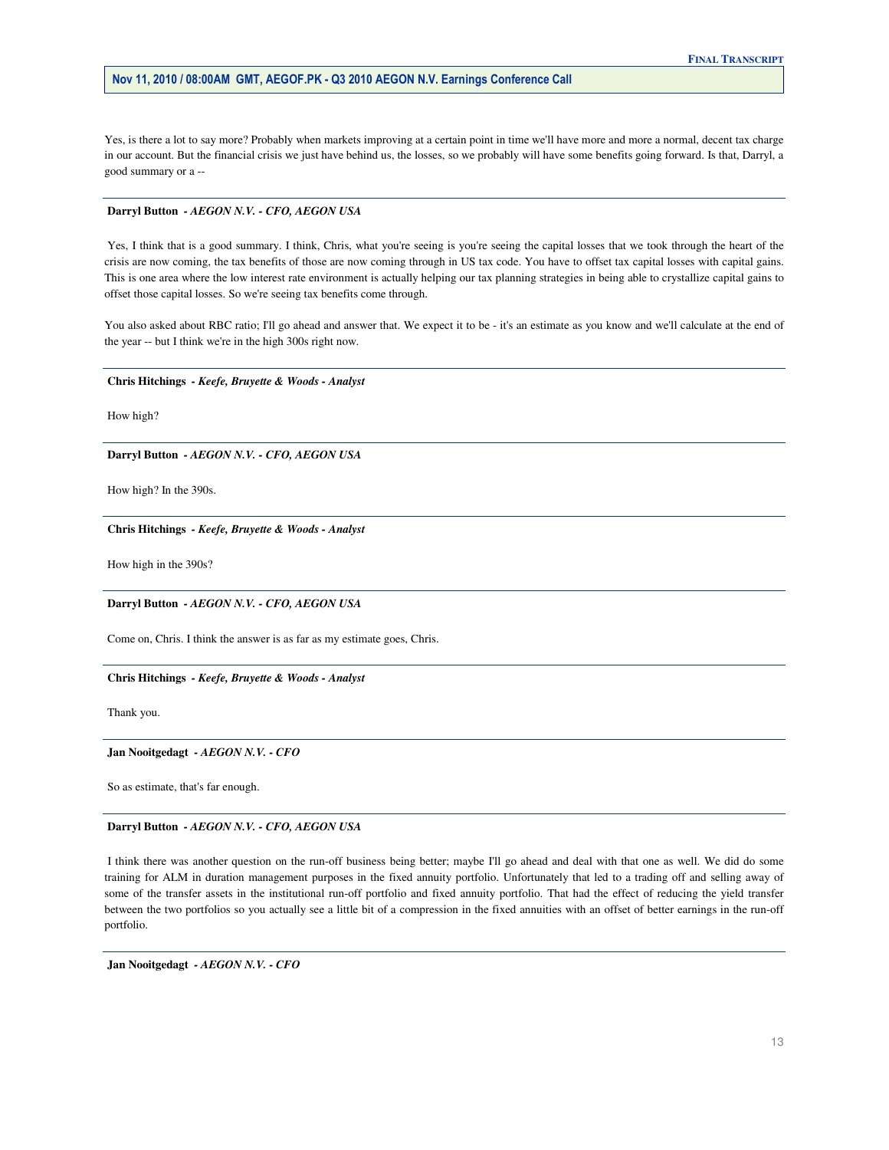Yes, is there a lot to say more? Probably when markets improving at a certain point in time we'll have more and more a normal, decent tax charge in our account. But the financial crisis we just have behind us, the losses, so we probably will have some benefits going forward. Is that, Darryl, a good summary or a -

#### **Darryl Button** *- AEGON N.V. - CFO, AEGON USA*

Yes, I think that is a good summary. I think, Chris, what you're seeing is you're seeing the capital losses that we took through the heart of the crisis are now coming, the tax benefits of those are now coming through in US tax code. You have to offset tax capital losses with capital gains. This is one area where the low interest rate environment is actually helping our tax planning strategies in being able to crystallize capital gains to offset those capital losses. So we're seeing tax benefits come through.

You also asked about RBC ratio; I'll go ahead and answer that. We expect it to be - it's an estimate as you know and we'll calculate at the end of the year -- but I think we're in the high 300s right now.

#### **Chris Hitchings** *- Keefe, Bruyette & Woods - Analyst*

How high?

#### **Darryl Button** *- AEGON N.V. - CFO, AEGON USA*

How high? In the 390s.

#### **Chris Hitchings** *- Keefe, Bruyette & Woods - Analyst*

How high in the 390s?

#### **Darryl Button** *- AEGON N.V. - CFO, AEGON USA*

Come on, Chris. I think the answer is as far as my estimate goes, Chris.

#### **Chris Hitchings** *- Keefe, Bruyette & Woods - Analyst*

Thank you.

#### **Jan Nooitgedagt** *- AEGON N.V. - CFO*

So as estimate, that's far enough.

#### **Darryl Button** *- AEGON N.V. - CFO, AEGON USA*

 I think there was another question on the run-off business being better; maybe I'll go ahead and deal with that one as well. We did do some training for ALM in duration management purposes in the fixed annuity portfolio. Unfortunately that led to a trading off and selling away of some of the transfer assets in the institutional run-off portfolio and fixed annuity portfolio. That had the effect of reducing the yield transfer between the two portfolios so you actually see a little bit of a compression in the fixed annuities with an offset of better earnings in the run-off portfolio.

 **Jan Nooitgedagt** *- AEGON N.V. - CFO*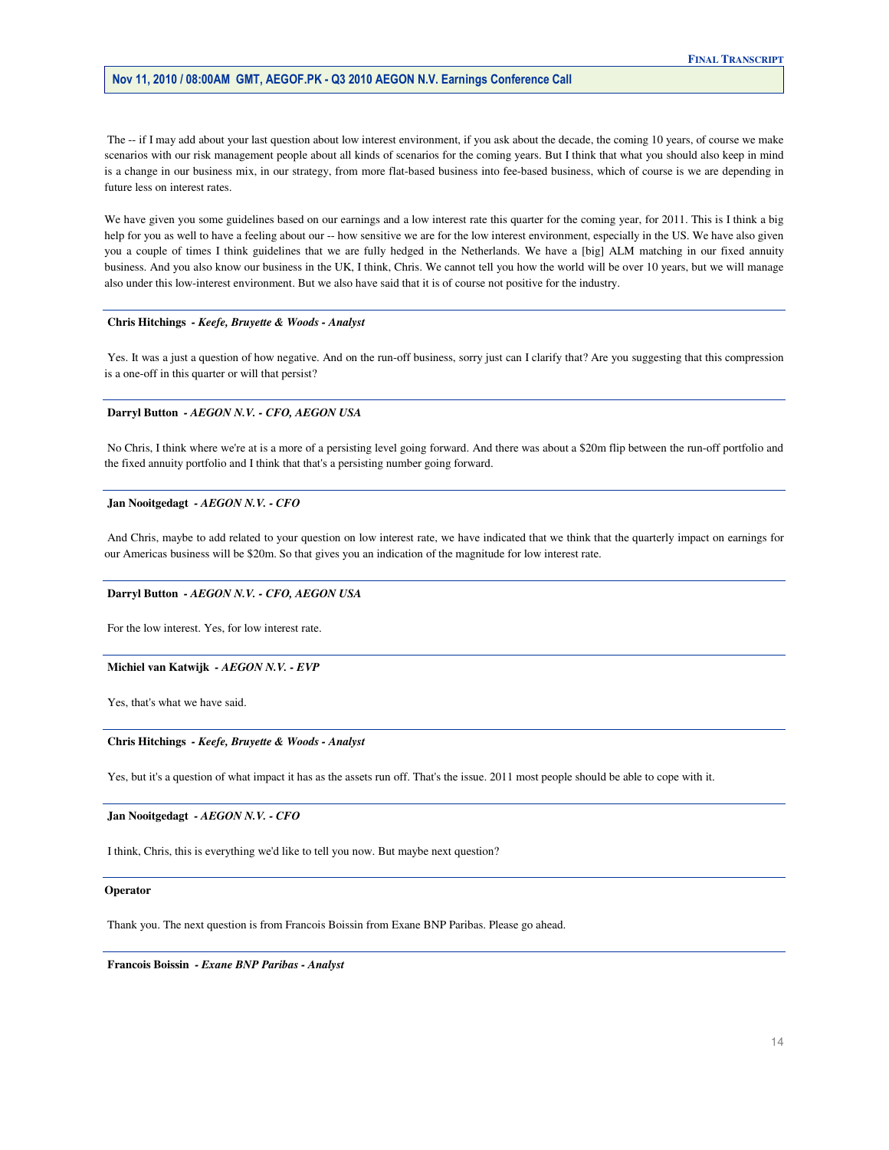The -- if I may add about your last question about low interest environment, if you ask about the decade, the coming 10 years, of course we make scenarios with our risk management people about all kinds of scenarios for the coming years. But I think that what you should also keep in mind is a change in our business mix, in our strategy, from more flat-based business into fee-based business, which of course is we are depending in future less on interest rates.

We have given you some guidelines based on our earnings and a low interest rate this quarter for the coming year, for 2011. This is I think a big help for you as well to have a feeling about our -- how sensitive we are for the low interest environment, especially in the US. We have also given you a couple of times I think guidelines that we are fully hedged in the Netherlands. We have a [big] ALM matching in our fixed annuity business. And you also know our business in the UK, I think, Chris. We cannot tell you how the world will be over 10 years, but we will manage also under this low-interest environment. But we also have said that it is of course not positive for the industry.

#### **Chris Hitchings** *- Keefe, Bruyette & Woods - Analyst*

 Yes. It was a just a question of how negative. And on the run-off business, sorry just can I clarify that? Are you suggesting that this compression is a one-off in this quarter or will that persist?

#### **Darryl Button** *- AEGON N.V. - CFO, AEGON USA*

No Chris, I think where we're at is a more of a persisting level going forward. And there was about a \$20m flip between the run-off portfolio and the fixed annuity portfolio and I think that that's a persisting number going forward.

#### **Jan Nooitgedagt** *- AEGON N.V. - CFO*

 And Chris, maybe to add related to your question on low interest rate, we have indicated that we think that the quarterly impact on earnings for our Americas business will be \$20m. So that gives you an indication of the magnitude for low interest rate.

#### **Darryl Button** *- AEGON N.V. - CFO, AEGON USA*

For the low interest. Yes, for low interest rate.

#### **Michiel van Katwijk** *- AEGON N.V. - EVP*

Yes, that's what we have said.

#### **Chris Hitchings** *- Keefe, Bruyette & Woods - Analyst*

Yes, but it's a question of what impact it has as the assets run off. That's the issue. 2011 most people should be able to cope with it.

#### **Jan Nooitgedagt** *- AEGON N.V. - CFO*

I think, Chris, this is everything we'd like to tell you now. But maybe next question?

#### **Operator**

Thank you. The next question is from Francois Boissin from Exane BNP Paribas. Please go ahead.

 **Francois Boissin** *- Exane BNP Paribas - Analyst*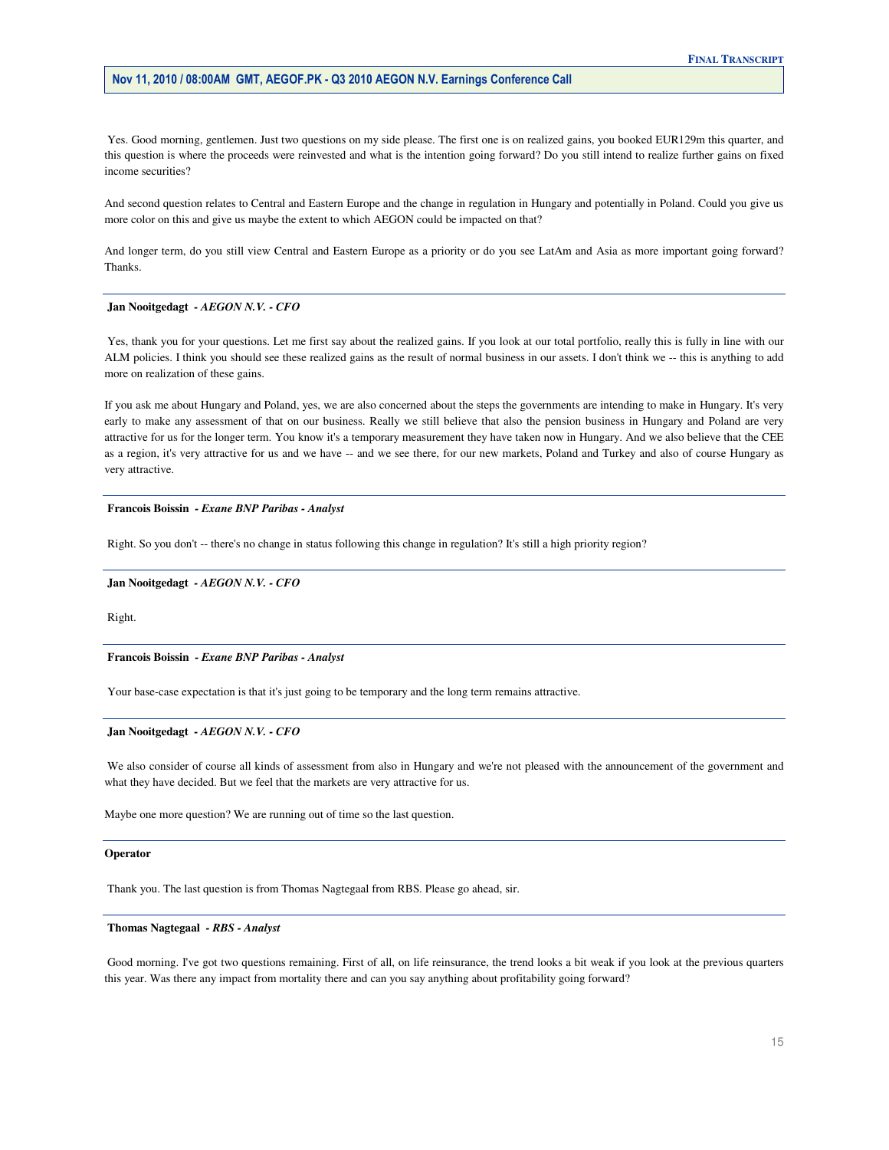Yes. Good morning, gentlemen. Just two questions on my side please. The first one is on realized gains, you booked EUR129m this quarter, and this question is where the proceeds were reinvested and what is the intention going forward? Do you still intend to realize further gains on fixed income securities?

 And second question relates to Central and Eastern Europe and the change in regulation in Hungary and potentially in Poland. Could you give us more color on this and give us maybe the extent to which AEGON could be impacted on that?

 And longer term, do you still view Central and Eastern Europe as a priority or do you see LatAm and Asia as more important going forward? Thanks.

#### **Jan Nooitgedagt** *- AEGON N.V. - CFO*

 Yes, thank you for your questions. Let me first say about the realized gains. If you look at our total portfolio, really this is fully in line with our ALM policies. I think you should see these realized gains as the result of normal business in our assets. I don't think we -- this is anything to add more on realization of these gains.

 If you ask me about Hungary and Poland, yes, we are also concerned about the steps the governments are intending to make in Hungary. It's very early to make any assessment of that on our business. Really we still believe that also the pension business in Hungary and Poland are very attractive for us for the longer term. You know it's a temporary measurement they have taken now in Hungary. And we also believe that the CEE as a region, it's very attractive for us and we have -- and we see there, for our new markets, Poland and Turkey and also of course Hungary as very attractive.

#### **Francois Boissin** *- Exane BNP Paribas - Analyst*

Right. So you don't -- there's no change in status following this change in regulation? It's still a high priority region?

#### **Jan Nooitgedagt** *- AEGON N.V. - CFO*

Right.

#### **Francois Boissin** *- Exane BNP Paribas - Analyst*

Your base-case expectation is that it's just going to be temporary and the long term remains attractive.

#### **Jan Nooitgedagt** *- AEGON N.V. - CFO*

 We also consider of course all kinds of assessment from also in Hungary and we're not pleased with the announcement of the government and what they have decided. But we feel that the markets are very attractive for us.

Maybe one more question? We are running out of time so the last question.

#### **Operator**

Thank you. The last question is from Thomas Nagtegaal from RBS. Please go ahead, sir.

## **Thomas Nagtegaal** *- RBS - Analyst*

 Good morning. I've got two questions remaining. First of all, on life reinsurance, the trend looks a bit weak if you look at the previous quarters this year. Was there any impact from mortality there and can you say anything about profitability going forward?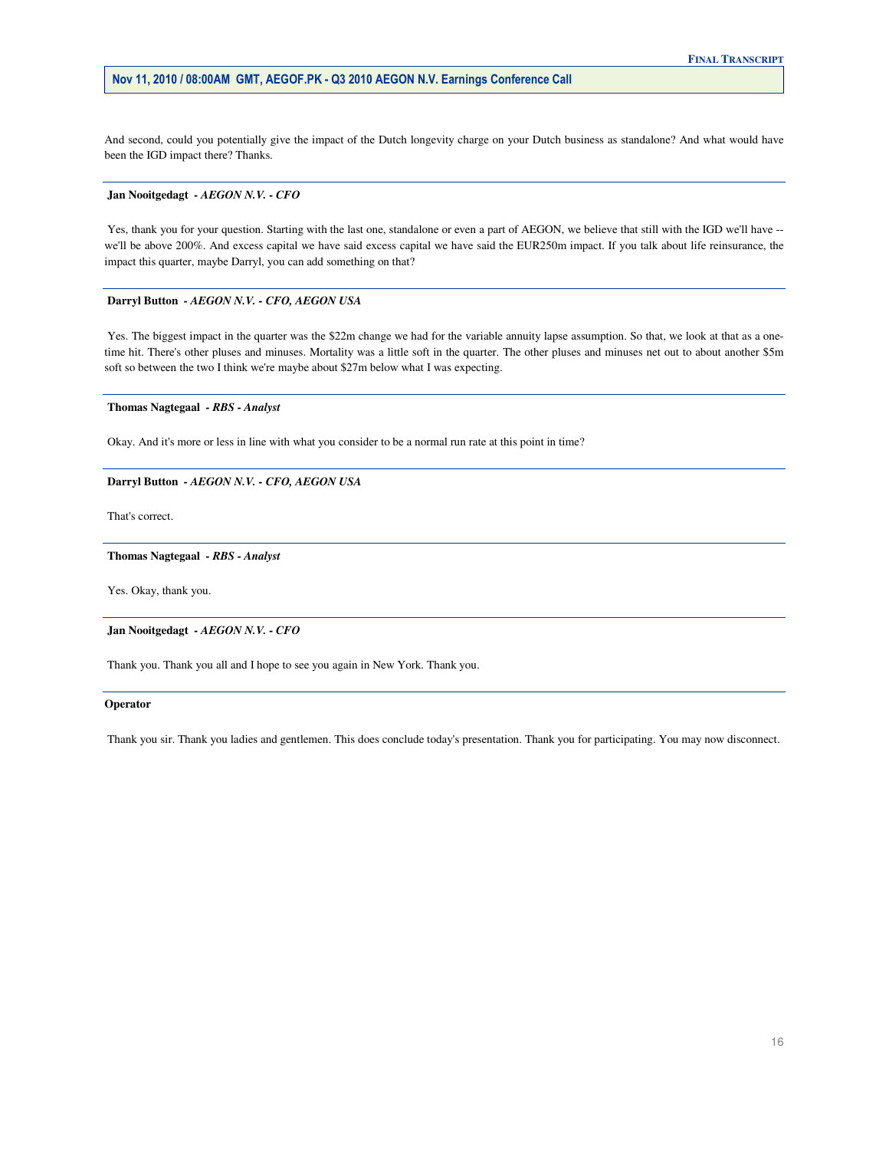And second, could you potentially give the impact of the Dutch longevity charge on your Dutch business as standalone? And what would have been the IGD impact there? Thanks.

#### **Jan Nooitgedagt** *- AEGON N.V. - CFO*

Yes, thank you for your question. Starting with the last one, standalone or even a part of AEGON, we believe that still with the IGD we'll have -- we'll be above 200%. And excess capital we have said excess capital we have said the EUR250m impact. If you talk about life reinsurance, the impact this quarter, maybe Darryl, you can add something on that?

#### **Darryl Button** *- AEGON N.V. - CFO, AEGON USA*

Yes. The biggest impact in the quarter was the \$22m change we had for the variable annuity lapse assumption. So that, we look at that as a one- time hit. There's other pluses and minuses. Mortality was a little soft in the quarter. The other pluses and minuses net out to about another \$5m soft so between the two I think we're maybe about \$27m below what I was expecting.

#### **Thomas Nagtegaal** *- RBS - Analyst*

Okay. And it's more or less in line with what you consider to be a normal run rate at this point in time?

#### **Darryl Button** *- AEGON N.V. - CFO, AEGON USA*

That's correct.

#### **Thomas Nagtegaal** *- RBS - Analyst*

Yes. Okay, thank you.

 **Jan Nooitgedagt** *- AEGON N.V. - CFO* 

Thank you. Thank you all and I hope to see you again in New York. Thank you.

#### **Operator**

Thank you sir. Thank you ladies and gentlemen. This does conclude today's presentation. Thank you for participating. You may now disconnect.